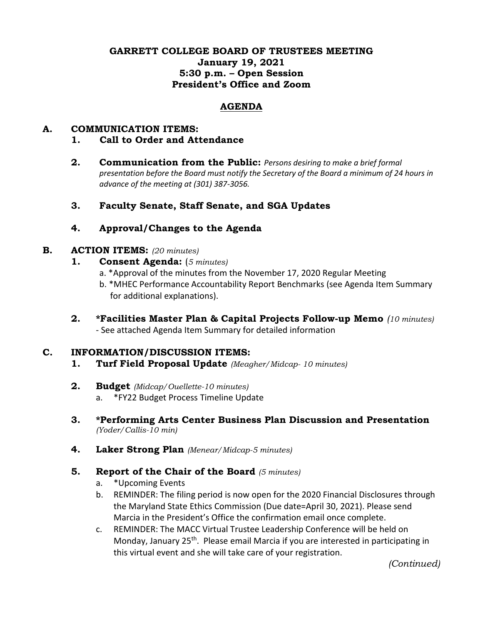# **GARRETT COLLEGE BOARD OF TRUSTEES MEETING January 19, 2021 5:30 p.m. – Open Session President's Office and Zoom**

### **AGENDA**

### **A. COMMUNICATION ITEMS:**

- **1. Call to Order and Attendance**
- **2. Communication from the Public:** *Persons desiring to make a brief formal presentation before the Board must notify the Secretary of the Board a minimum of 24 hours in advance of the meeting at (301) 387-3056.*
- **3. Faculty Senate, Staff Senate, and SGA Updates**

# **4. Approval/Changes to the Agenda**

#### **B. ACTION ITEMS:** *(20 minutes)*

- **1. Consent Agenda:** (*5 minutes)*
	- a. \*Approval of the minutes from the November 17, 2020 Regular Meeting
	- b. \*MHEC Performance Accountability Report Benchmarks (see Agenda Item Summary for additional explanations).
- **2. \*Facilities Master Plan & Capital Projects Follow-up Memo** *(10 minutes)* - See attached Agenda Item Summary for detailed information

#### **C. INFORMATION/DISCUSSION ITEMS:**

- **1. Turf Field Proposal Update** *(Meagher/Midcap- 10 minutes)*
- **2. Budget** *(Midcap/Ouellette-10 minutes)* a. \*FY22 Budget Process Timeline Update
- **3. \*Performing Arts Center Business Plan Discussion and Presentation** *(Yoder/Callis-10 min)*
- **4. Laker Strong Plan** *(Menear/Midcap-5 minutes)*
- **5. Report of the Chair of the Board** *(5 minutes)*
	- a. \*Upcoming Events
	- b. REMINDER: The filing period is now open for the 2020 Financial Disclosures through the Maryland State Ethics Commission (Due date=April 30, 2021). Please send Marcia in the President's Office the confirmation email once complete.
	- c. REMINDER: The MACC Virtual Trustee Leadership Conference will be held on Monday, January 25<sup>th</sup>. Please email Marcia if you are interested in participating in this virtual event and she will take care of your registration.

*(Continued)*